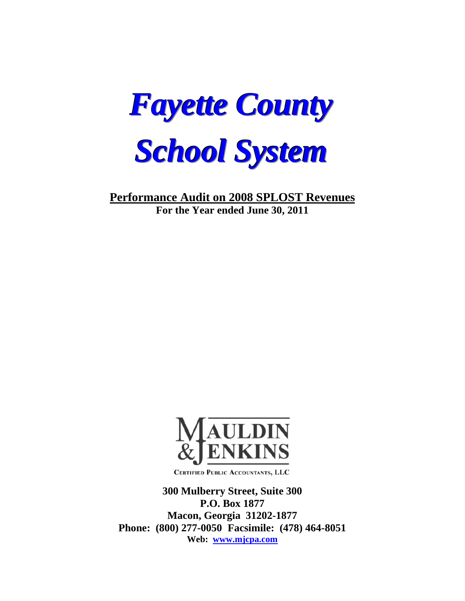

**Performance Audit on 2008 SPLOST Revenues For the Year ended June 30, 2011** 



CERTIFIED PUBLIC ACCOUNTANTS, LLC

**300 Mulberry Street, Suite 300 P.O. Box 1877 Macon, Georgia 31202-1877 Phone: (800) 277-0050 Facsimile: (478) 464-8051 Web: www.mjcpa.com**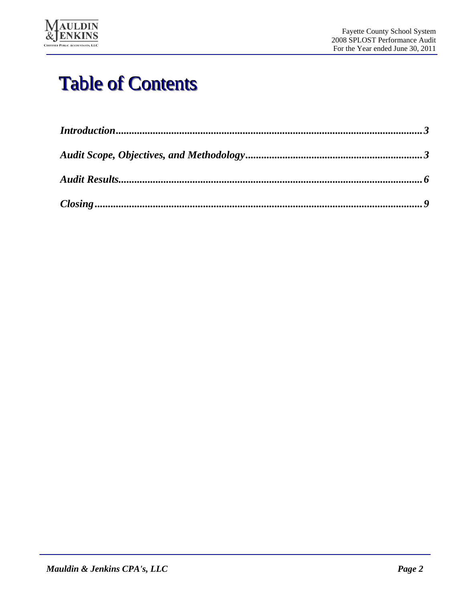

# Table of Contents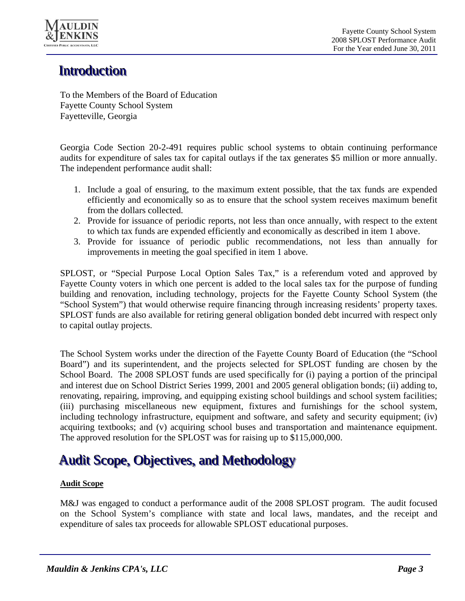

# **Introduction**

To the Members of the Board of Education Fayette County School System Fayetteville, Georgia

Georgia Code Section 20-2-491 requires public school systems to obtain continuing performance audits for expenditure of sales tax for capital outlays if the tax generates \$5 million or more annually. The independent performance audit shall:

- 1. Include a goal of ensuring, to the maximum extent possible, that the tax funds are expended efficiently and economically so as to ensure that the school system receives maximum benefit from the dollars collected.
- 2. Provide for issuance of periodic reports, not less than once annually, with respect to the extent to which tax funds are expended efficiently and economically as described in item 1 above.
- 3. Provide for issuance of periodic public recommendations, not less than annually for improvements in meeting the goal specified in item 1 above.

SPLOST, or "Special Purpose Local Option Sales Tax," is a referendum voted and approved by Fayette County voters in which one percent is added to the local sales tax for the purpose of funding building and renovation, including technology, projects for the Fayette County School System (the "School System") that would otherwise require financing through increasing residents' property taxes. SPLOST funds are also available for retiring general obligation bonded debt incurred with respect only to capital outlay projects.

The School System works under the direction of the Fayette County Board of Education (the "School Board") and its superintendent, and the projects selected for SPLOST funding are chosen by the School Board. The 2008 SPLOST funds are used specifically for (i) paying a portion of the principal and interest due on School District Series 1999, 2001 and 2005 general obligation bonds; (ii) adding to, renovating, repairing, improving, and equipping existing school buildings and school system facilities; (iii) purchasing miscellaneous new equipment, fixtures and furnishings for the school system, including technology infrastructure, equipment and software, and safety and security equipment; (iv) acquiring textbooks; and (v) acquiring school buses and transportation and maintenance equipment. The approved resolution for the SPLOST was for raising up to \$115,000,000.

# Audit Scope, Objectives, and Methodology

## **Audit Scope**

M&J was engaged to conduct a performance audit of the 2008 SPLOST program. The audit focused on the School System's compliance with state and local laws, mandates, and the receipt and expenditure of sales tax proceeds for allowable SPLOST educational purposes.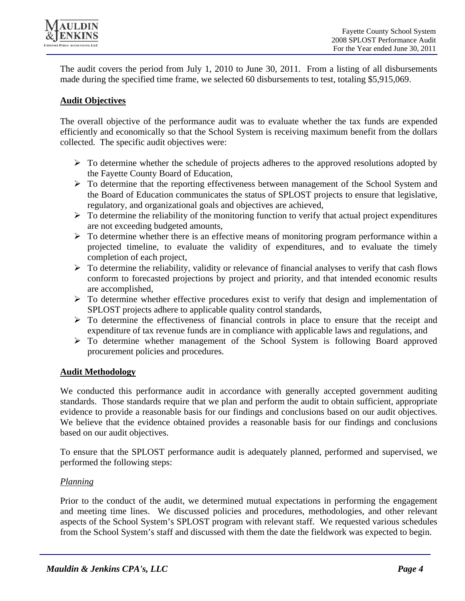

The audit covers the period from July 1, 2010 to June 30, 2011. From a listing of all disbursements made during the specified time frame, we selected 60 disbursements to test, totaling \$5,915,069.

### **Audit Objectives**

The overall objective of the performance audit was to evaluate whether the tax funds are expended efficiently and economically so that the School System is receiving maximum benefit from the dollars collected. The specific audit objectives were:

- $\triangleright$  To determine whether the schedule of projects adheres to the approved resolutions adopted by the Fayette County Board of Education,
- To determine that the reporting effectiveness between management of the School System and the Board of Education communicates the status of SPLOST projects to ensure that legislative, regulatory, and organizational goals and objectives are achieved,
- $\triangleright$  To determine the reliability of the monitoring function to verify that actual project expenditures are not exceeding budgeted amounts,
- $\triangleright$  To determine whether there is an effective means of monitoring program performance within a projected timeline, to evaluate the validity of expenditures, and to evaluate the timely completion of each project,
- $\triangleright$  To determine the reliability, validity or relevance of financial analyses to verify that cash flows conform to forecasted projections by project and priority, and that intended economic results are accomplished,
- $\triangleright$  To determine whether effective procedures exist to verify that design and implementation of SPLOST projects adhere to applicable quality control standards,
- $\triangleright$  To determine the effectiveness of financial controls in place to ensure that the receipt and expenditure of tax revenue funds are in compliance with applicable laws and regulations, and
- $\triangleright$  To determine whether management of the School System is following Board approved procurement policies and procedures.

## **Audit Methodology**

We conducted this performance audit in accordance with generally accepted government auditing standards. Those standards require that we plan and perform the audit to obtain sufficient, appropriate evidence to provide a reasonable basis for our findings and conclusions based on our audit objectives. We believe that the evidence obtained provides a reasonable basis for our findings and conclusions based on our audit objectives.

To ensure that the SPLOST performance audit is adequately planned, performed and supervised, we performed the following steps:

#### *Planning*

Prior to the conduct of the audit, we determined mutual expectations in performing the engagement and meeting time lines. We discussed policies and procedures, methodologies, and other relevant aspects of the School System's SPLOST program with relevant staff. We requested various schedules from the School System's staff and discussed with them the date the fieldwork was expected to begin.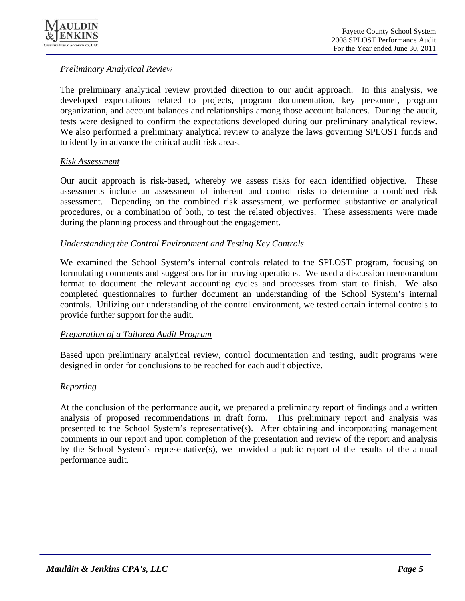

## *Preliminary Analytical Review*

The preliminary analytical review provided direction to our audit approach. In this analysis, we developed expectations related to projects, program documentation, key personnel, program organization, and account balances and relationships among those account balances. During the audit, tests were designed to confirm the expectations developed during our preliminary analytical review. We also performed a preliminary analytical review to analyze the laws governing SPLOST funds and to identify in advance the critical audit risk areas.

### *Risk Assessment*

Our audit approach is risk-based, whereby we assess risks for each identified objective. These assessments include an assessment of inherent and control risks to determine a combined risk assessment. Depending on the combined risk assessment, we performed substantive or analytical procedures, or a combination of both, to test the related objectives. These assessments were made during the planning process and throughout the engagement.

### *Understanding the Control Environment and Testing Key Controls*

We examined the School System's internal controls related to the SPLOST program, focusing on formulating comments and suggestions for improving operations. We used a discussion memorandum format to document the relevant accounting cycles and processes from start to finish. We also completed questionnaires to further document an understanding of the School System's internal controls. Utilizing our understanding of the control environment, we tested certain internal controls to provide further support for the audit.

## *Preparation of a Tailored Audit Program*

Based upon preliminary analytical review, control documentation and testing, audit programs were designed in order for conclusions to be reached for each audit objective.

#### *Reporting*

At the conclusion of the performance audit, we prepared a preliminary report of findings and a written analysis of proposed recommendations in draft form. This preliminary report and analysis was presented to the School System's representative(s). After obtaining and incorporating management comments in our report and upon completion of the presentation and review of the report and analysis by the School System's representative(s), we provided a public report of the results of the annual performance audit.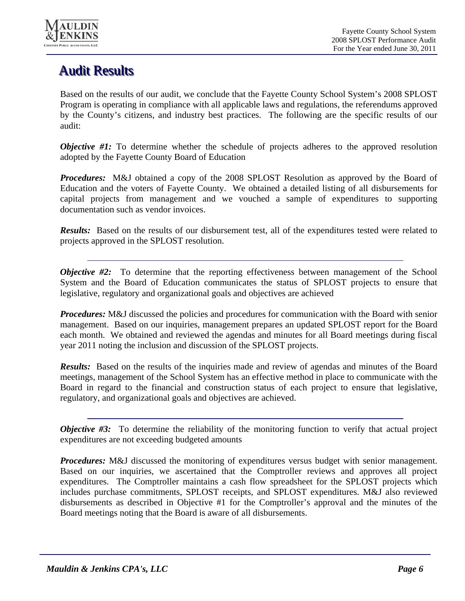

# **Audit Results**

Based on the results of our audit, we conclude that the Fayette County School System's 2008 SPLOST Program is operating in compliance with all applicable laws and regulations, the referendums approved by the County's citizens, and industry best practices. The following are the specific results of our audit:

*Objective #1:* To determine whether the schedule of projects adheres to the approved resolution adopted by the Fayette County Board of Education

*Procedures:* M&J obtained a copy of the 2008 SPLOST Resolution as approved by the Board of Education and the voters of Fayette County. We obtained a detailed listing of all disbursements for capital projects from management and we vouched a sample of expenditures to supporting documentation such as vendor invoices.

*Results:* Based on the results of our disbursement test, all of the expenditures tested were related to projects approved in the SPLOST resolution.

*Objective #2:* To determine that the reporting effectiveness between management of the School System and the Board of Education communicates the status of SPLOST projects to ensure that legislative, regulatory and organizational goals and objectives are achieved

*Procedures:* M&J discussed the policies and procedures for communication with the Board with senior management. Based on our inquiries, management prepares an updated SPLOST report for the Board each month. We obtained and reviewed the agendas and minutes for all Board meetings during fiscal year 2011 noting the inclusion and discussion of the SPLOST projects.

*Results:* Based on the results of the inquiries made and review of agendas and minutes of the Board meetings, management of the School System has an effective method in place to communicate with the Board in regard to the financial and construction status of each project to ensure that legislative, regulatory, and organizational goals and objectives are achieved.

*Objective #3:* To determine the reliability of the monitoring function to verify that actual project expenditures are not exceeding budgeted amounts

*Procedures:* M&J discussed the monitoring of expenditures versus budget with senior management. Based on our inquiries, we ascertained that the Comptroller reviews and approves all project expenditures. The Comptroller maintains a cash flow spreadsheet for the SPLOST projects which includes purchase commitments, SPLOST receipts, and SPLOST expenditures. M&J also reviewed disbursements as described in Objective #1 for the Comptroller's approval and the minutes of the Board meetings noting that the Board is aware of all disbursements.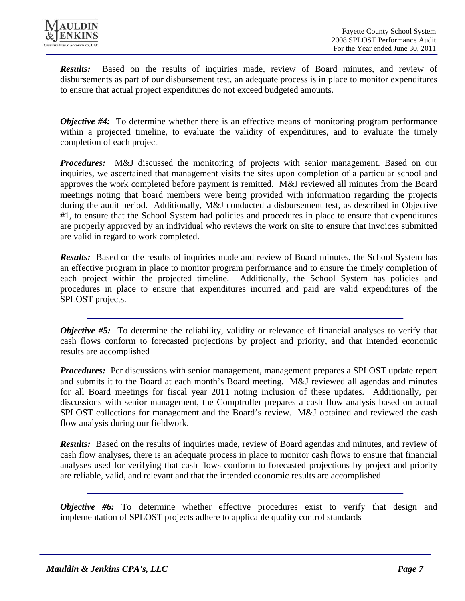

*Results:* Based on the results of inquiries made, review of Board minutes, and review of disbursements as part of our disbursement test, an adequate process is in place to monitor expenditures to ensure that actual project expenditures do not exceed budgeted amounts.

*Objective #4:* To determine whether there is an effective means of monitoring program performance within a projected timeline, to evaluate the validity of expenditures, and to evaluate the timely completion of each project

*Procedures:* M&J discussed the monitoring of projects with senior management. Based on our inquiries, we ascertained that management visits the sites upon completion of a particular school and approves the work completed before payment is remitted. M&J reviewed all minutes from the Board meetings noting that board members were being provided with information regarding the projects during the audit period. Additionally, M&J conducted a disbursement test, as described in Objective #1, to ensure that the School System had policies and procedures in place to ensure that expenditures are properly approved by an individual who reviews the work on site to ensure that invoices submitted are valid in regard to work completed.

*Results:* Based on the results of inquiries made and review of Board minutes, the School System has an effective program in place to monitor program performance and to ensure the timely completion of each project within the projected timeline. Additionally, the School System has policies and procedures in place to ensure that expenditures incurred and paid are valid expenditures of the SPLOST projects.

*Objective #5:* To determine the reliability, validity or relevance of financial analyses to verify that cash flows conform to forecasted projections by project and priority, and that intended economic results are accomplished

*Procedures:* Per discussions with senior management, management prepares a SPLOST update report and submits it to the Board at each month's Board meeting. M&J reviewed all agendas and minutes for all Board meetings for fiscal year 2011 noting inclusion of these updates. Additionally, per discussions with senior management, the Comptroller prepares a cash flow analysis based on actual SPLOST collections for management and the Board's review. M&J obtained and reviewed the cash flow analysis during our fieldwork.

*Results:* Based on the results of inquiries made, review of Board agendas and minutes, and review of cash flow analyses, there is an adequate process in place to monitor cash flows to ensure that financial analyses used for verifying that cash flows conform to forecasted projections by project and priority are reliable, valid, and relevant and that the intended economic results are accomplished.

*Objective #6:* To determine whether effective procedures exist to verify that design and implementation of SPLOST projects adhere to applicable quality control standards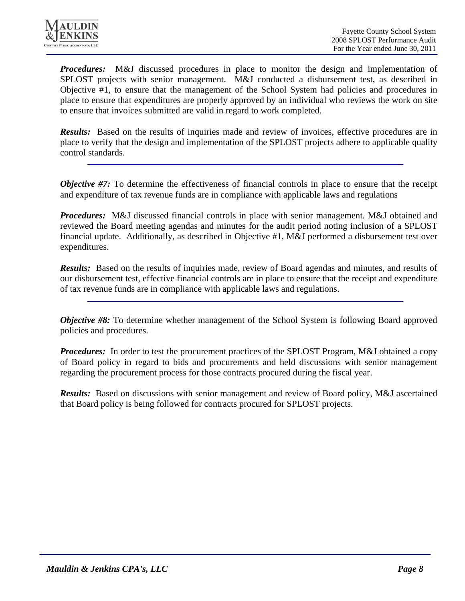

*Procedures:* M&J discussed procedures in place to monitor the design and implementation of SPLOST projects with senior management. M&J conducted a disbursement test, as described in Objective #1, to ensure that the management of the School System had policies and procedures in place to ensure that expenditures are properly approved by an individual who reviews the work on site to ensure that invoices submitted are valid in regard to work completed.

**Results:** Based on the results of inquiries made and review of invoices, effective procedures are in place to verify that the design and implementation of the SPLOST projects adhere to applicable quality control standards.

*Objective #7:* To determine the effectiveness of financial controls in place to ensure that the receipt and expenditure of tax revenue funds are in compliance with applicable laws and regulations

*Procedures:* M&J discussed financial controls in place with senior management. M&J obtained and reviewed the Board meeting agendas and minutes for the audit period noting inclusion of a SPLOST financial update. Additionally, as described in Objective #1, M&J performed a disbursement test over expenditures.

*Results:* Based on the results of inquiries made, review of Board agendas and minutes, and results of our disbursement test, effective financial controls are in place to ensure that the receipt and expenditure of tax revenue funds are in compliance with applicable laws and regulations.

*Objective #8:* To determine whether management of the School System is following Board approved policies and procedures.

*Procedures:* In order to test the procurement practices of the SPLOST Program, M&J obtained a copy of Board policy in regard to bids and procurements and held discussions with senior management regarding the procurement process for those contracts procured during the fiscal year.

*Results:* Based on discussions with senior management and review of Board policy, M&J ascertained that Board policy is being followed for contracts procured for SPLOST projects.